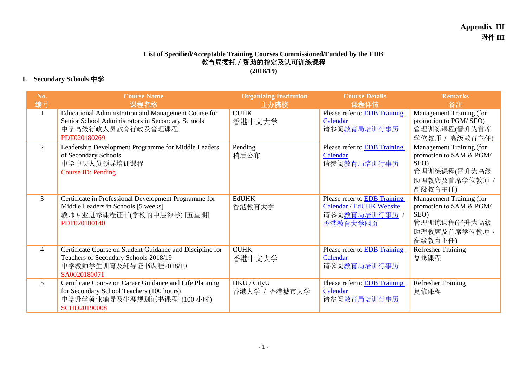## **List of Specified/Acceptable Training Courses Commissioned/Funded by the EDB** 教育局委托/资助的指定及认可训练课程 **(2018/19)**

## **I. Secondary Schools** 中学

| No.<br>编号      | <b>Course Name</b><br>课程名称                                                                                                                                | <b>Organizing Institution</b><br>主办院校 | <b>Course Details</b><br>课程详情                                                              | <b>Remarks</b><br>备注                                                                                    |
|----------------|-----------------------------------------------------------------------------------------------------------------------------------------------------------|---------------------------------------|--------------------------------------------------------------------------------------------|---------------------------------------------------------------------------------------------------------|
| 1              | Educational Administration and Management Course for<br>Senior School Administrators in Secondary Schools<br>中学高级行政人员教育行政及管理课程<br>PDT020180269            | <b>CUHK</b><br>香港中文大学                 | Please refer to <b>EDB</b> Training<br>Calendar<br>请参阅教育局培训行事历                             | Management Training (for<br>promotion to PGM/SEO)<br>管理训练课程(晋升为首席<br>学位教师 / 高级教育主任)                     |
| $\overline{2}$ | Leadership Development Programme for Middle Leaders<br>of Secondary Schools<br>中学中层人员领导培训课程<br><b>Course ID: Pending</b>                                  | Pending<br>稍后公布                       | Please refer to <b>EDB</b> Training<br>Calendar<br>请参阅教育局培训行事历                             | Management Training (for<br>promotion to SAM & PGM/<br>SEO)<br>管理训练课程(晋升为高级<br>助理教席及首席学位教师 /<br>高级教育主任) |
| $\overline{3}$ | Certificate in Professional Development Programme for<br>Middle Leaders in Schools [5 weeks]<br>教师专业进修课程证书(学校的中层领导) [五星期]<br>PDT020180140                 | <b>EdUHK</b><br>香港教育大学                | Please refer to <b>EDB</b> Training<br>Calendar / EdUHK Website<br>请参阅教育局培训行事历<br>香港教育大学网页 | Management Training (for<br>promotion to SAM & PGM/<br>SEO)<br>管理训练课程(晋升为高级<br>助理教席及首席学位教师 /<br>高级教育主任) |
| $\overline{4}$ | Certificate Course on Student Guidance and Discipline for<br>Teachers of Secondary Schools 2018/19<br>中学教师学生训育及辅导证书课程2018/19<br>SA0020180071              | <b>CUHK</b><br>香港中文大学                 | Please refer to <b>EDB</b> Training<br>Calendar<br>请参阅教育局培训行事历                             | <b>Refresher Training</b><br>复修课程                                                                       |
| 5              | Certificate Course on Career Guidance and Life Planning<br>for Secondary School Teachers (100 hours)<br>中学升学就业辅导及生涯规划证书课程 (100 小时)<br><b>SCHD20190008</b> | HKU / CityU<br>香港大学 / 香港城市大学          | Please refer to <b>EDB</b> Training<br>Calendar<br>请参阅教育局培训行事历                             | <b>Refresher Training</b><br>复修课程                                                                       |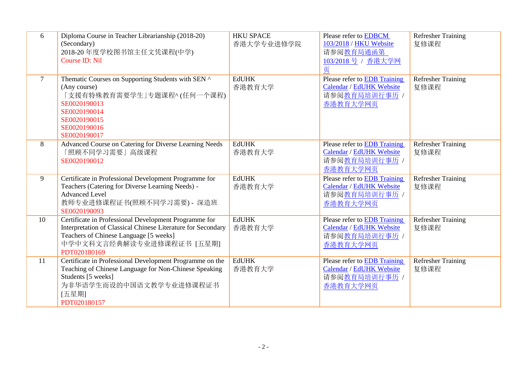| 6              | Diploma Course in Teacher Librarianship (2018-20)<br>(Secondary)<br>2018-20 年度学校图书馆主任文凭课程(中学)<br><b>Course ID: Nil</b>                                                                                       | <b>HKU SPACE</b><br>香港大学专业进修学院 | Please refer to EDBCM<br>103/2018 / HKU Website<br>请参阅教育局通函第<br>103/2018 号 / 香港大学网<br>页 | <b>Refresher Training</b><br>复修课程 |
|----------------|--------------------------------------------------------------------------------------------------------------------------------------------------------------------------------------------------------------|--------------------------------|-----------------------------------------------------------------------------------------|-----------------------------------|
| $\overline{7}$ | Thematic Courses on Supporting Students with SEN ^<br>(Any course)<br>「支援有特殊教育需要学生」专题课程^(任何一个课程)<br>SE0020190013<br>SE0020190014<br>SE0020190015<br>SE0020190016<br>SE0020190017                             | <b>EdUHK</b><br>香港教育大学         | Please refer to EDB Training<br>Calendar / EdUHK Website<br>请参阅教育局培训行事历 /<br>香港教育大学网页   | <b>Refresher Training</b><br>复修课程 |
| 8              | Advanced Course on Catering for Diverse Learning Needs<br>「照顾不同学习需要」高级课程<br>SE0020190012                                                                                                                     | <b>EdUHK</b><br>香港教育大学         | Please refer to EDB Training<br>Calendar / EdUHK Website<br>请参阅教育局培训行事历 /<br>香港教育大学网页   | <b>Refresher Training</b><br>复修课程 |
| 9              | Certificate in Professional Development Programme for<br>Teachers (Catering for Diverse Learning Needs) -<br><b>Advanced Level</b><br>教师专业进修课程证书(照顾不同学习需要) - 深造班<br>SE0020190093                             | <b>EdUHK</b><br>香港教育大学         | Please refer to EDB Training<br>Calendar / EdUHK Website<br>请参阅教育局培训行事历 /<br>香港教育大学网页   | <b>Refresher Training</b><br>复修课程 |
| 10             | Certificate in Professional Development Programme for<br>Interpretation of Classical Chinese Literature for Secondary<br>Teachers of Chinese Language [5 weeks]<br>中学中文科文言经典解读专业进修课程证书 [五星期]<br>PDT020180169 | <b>EdUHK</b><br>香港教育大学         | Please refer to EDB Training<br>Calendar / EdUHK Website<br>请参阅教育局培训行事历 /<br>香港教育大学网页   | <b>Refresher Training</b><br>复修课程 |
| 11             | Certificate in Professional Development Programme on the<br>Teaching of Chinese Language for Non-Chinese Speaking<br>Students [5 weeks]<br>为非华语学生而设的中国语文教学专业进修课程证书<br>[五星期]<br>PDT020180157                  | <b>EdUHK</b><br>香港教育大学         | Please refer to EDB Training<br>Calendar / EdUHK Website<br>请参阅教育局培训行事历 /<br>香港教育大学网页   | <b>Refresher Training</b><br>复修课程 |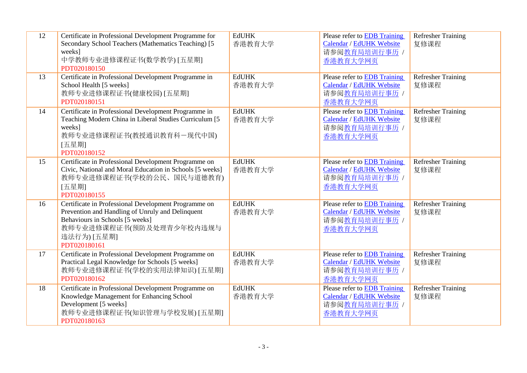| 12 | Certificate in Professional Development Programme for<br>Secondary School Teachers (Mathematics Teaching) [5<br>weeks]<br>中学教师专业进修课程证书(数学教学)[五星期]<br>PDT020180150                                      | <b>EdUHK</b><br>香港教育大学 | Please refer to EDB Training<br>Calendar / EdUHK Website<br>请参阅教育局培训行事历 /<br>香港教育大学网页        | <b>Refresher Training</b><br>复修课程 |
|----|--------------------------------------------------------------------------------------------------------------------------------------------------------------------------------------------------------|------------------------|----------------------------------------------------------------------------------------------|-----------------------------------|
| 13 | Certificate in Professional Development Programme in<br>School Health [5 weeks]<br>教师专业进修课程证书(健康校园) [五星期]<br>PDT020180151                                                                              | <b>EdUHK</b><br>香港教育大学 | Please refer to EDB Training<br>Calendar / EdUHK Website<br>请参阅教育局培训行事历 /<br>香港教育大学网页        | <b>Refresher Training</b><br>复修课程 |
| 14 | Certificate in Professional Development Programme in<br>Teaching Modern China in Liberal Studies Curriculum [5]<br>weeks]<br>教师专业进修课程证书(教授通识教育科一现代中国)<br>[五星期]<br>PDT020180152                         | <b>EdUHK</b><br>香港教育大学 | Please refer to <b>EDB</b> Training<br>Calendar / EdUHK Website<br>请参阅教育局培训行事历 /<br>香港教育大学网页 | Refresher Training<br>复修课程        |
| 15 | Certificate in Professional Development Programme on<br>Civic, National and Moral Education in Schools [5 weeks]<br>教师专业进修课程证书(学校的公民、国民与道德教育)<br>[五星期]<br>PDT020180155                                 | <b>EdUHK</b><br>香港教育大学 | Please refer to EDB Training<br><b>Calendar / EdUHK Website</b><br>请参阅教育局培训行事历 /<br>香港教育大学网页 | <b>Refresher Training</b><br>复修课程 |
| 16 | Certificate in Professional Development Programme on<br>Prevention and Handling of Unruly and Delinquent<br>Behaviours in Schools [5 weeks]<br>教师专业进修课程证书(预防及处理青少年校内违规与<br>违法行为) [五星期]<br>PDT020180161 | <b>EdUHK</b><br>香港教育大学 | Please refer to EDB Training<br>Calendar / EdUHK Website<br>请参阅教育局培训行事历 /<br>香港教育大学网页        | <b>Refresher Training</b><br>复修课程 |
| 17 | Certificate in Professional Development Programme on<br>Practical Legal Knowledge for Schools [5 weeks]<br>教师专业进修课程证书(学校的实用法律知识) [五星期]<br>PDT020180162                                                 | <b>EdUHK</b><br>香港教育大学 | Please refer to EDB Training<br>Calendar / EdUHK Website<br>请参阅教育局培训行事历 /<br>香港教育大学网页        | <b>Refresher Training</b><br>复修课程 |
| 18 | Certificate in Professional Development Programme on<br>Knowledge Management for Enhancing School<br>Development [5 weeks]<br>教师专业进修课程证书(知识管理与学校发展) [五星期]<br>PDT020180163                              | <b>EdUHK</b><br>香港教育大学 | Please refer to EDB Training<br>Calendar / EdUHK Website<br>请参阅教育局培训行事历 /<br>香港教育大学网页        | Refresher Training<br>复修课程        |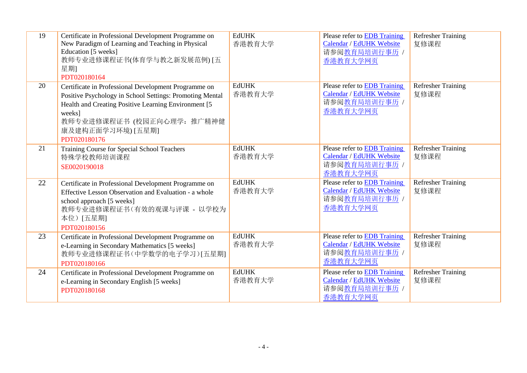| 19 | Certificate in Professional Development Programme on<br>New Paradigm of Learning and Teaching in Physical<br>Education [5 weeks]<br>教师专业进修课程证书(体育学与教之新发展范例) [五<br>星期]<br>PDT020180164                                                                  | <b>EdUHK</b><br>香港教育大学 | Please refer to EDB Training<br>Calendar / EdUHK Website<br>请参阅教育局培训行事历 /<br>香港教育大学网页        | <b>Refresher Training</b><br>复修课程 |
|----|--------------------------------------------------------------------------------------------------------------------------------------------------------------------------------------------------------------------------------------------------------|------------------------|----------------------------------------------------------------------------------------------|-----------------------------------|
| 20 | Certificate in Professional Development Programme on<br>Positive Psychology in School Settings: Promoting Mental<br>Health and Creating Positive Learning Environment [5]<br>weeks]<br>教师专业进修课程证书 (校园正向心理学: 推广精神健<br>康及建构正面学习环境) [五星期]<br>PDT020180176 | <b>EdUHK</b><br>香港教育大学 | Please refer to EDB Training<br>Calendar / EdUHK Website<br>请参阅教育局培训行事历 /<br>香港教育大学网页        | <b>Refresher Training</b><br>复修课程 |
| 21 | Training Course for Special School Teachers<br>特殊学校教师培训课程<br>SE0020190018                                                                                                                                                                              | <b>EdUHK</b><br>香港教育大学 | Please refer to EDB Training<br>Calendar / EdUHK Website<br>请参阅教育局培训行事历 /<br>香港教育大学网页        | <b>Refresher Training</b><br>复修课程 |
| 22 | Certificate in Professional Development Programme on<br>Effective Lesson Observation and Evaluation - a whole<br>school approach [5 weeks]<br>教师专业进修课程证书(有效的观课与评课 - 以学校为<br>本位) [五星期]<br>PDT020180156                                                  | <b>EdUHK</b><br>香港教育大学 | Please refer to EDB Training<br>Calendar / EdUHK Website<br>请参阅教育局培训行事历 /<br>香港教育大学网页        | <b>Refresher Training</b><br>复修课程 |
| 23 | Certificate in Professional Development Programme on<br>e-Learning in Secondary Mathematics [5 weeks]<br>教师专业进修课程证书(中学数学的电子学习)[五星期]<br>PDT020180166                                                                                                    | <b>EdUHK</b><br>香港教育大学 | Please refer to EDB Training<br>Calendar / EdUHK Website<br>请参阅教育局培训行事历 /<br>香港教育大学网页        | <b>Refresher Training</b><br>复修课程 |
| 24 | Certificate in Professional Development Programme on<br>e-Learning in Secondary English [5 weeks]<br>PDT020180168                                                                                                                                      | <b>EdUHK</b><br>香港教育大学 | Please refer to <b>EDB</b> Training<br>Calendar / EdUHK Website<br>请参阅教育局培训行事历 /<br>香港教育大学网页 | <b>Refresher Training</b><br>复修课程 |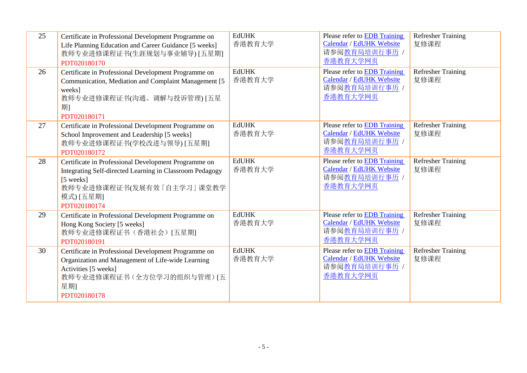| 25 | Certificate in Professional Development Programme on<br>Life Planning Education and Career Guidance [5 weeks]<br>教师专业进修课程证书(生涯规划与事业辅导) [五星期]<br>PDT020180170                            | <b>EdUHK</b><br>香港教育大学 | Please refer to EDB Training<br>Calendar / EdUHK Website<br>请参阅教育局培训行事历 /<br>香港教育大学网页        | <b>Refresher Training</b><br>复修课程 |
|----|-----------------------------------------------------------------------------------------------------------------------------------------------------------------------------------------|------------------------|----------------------------------------------------------------------------------------------|-----------------------------------|
| 26 | Certificate in Professional Development Programme on<br>Communication, Mediation and Complaint Management [5]<br>weeks]<br>教师专业进修课程证书(沟通、调解与投诉管理) [五星<br>期1<br>PDT020180171             | <b>EdUHK</b><br>香港教育大学 | Please refer to EDB Training<br><b>Calendar / EdUHK Website</b><br>请参阅教育局培训行事历 /<br>香港教育大学网页 | <b>Refresher Training</b><br>复修课程 |
| 27 | Certificate in Professional Development Programme on<br>School Improvement and Leadership [5 weeks]<br>教师专业进修课程证书(学校改进与领导) [五星期]<br>PDT020180172                                        | <b>EdUHK</b><br>香港教育大学 | Please refer to EDB Training<br>Calendar / EdUHK Website<br>请参阅教育局培训行事历 /<br>香港教育大学网页        | <b>Refresher Training</b><br>复修课程 |
| 28 | Certificate in Professional Development Programme on<br>Integrating Self-directed Learning in Classroom Pedagogy<br>[5 weeks]<br>教师专业进修课程证书(发展有效「自主学习」课堂教学<br>模式) [五星期]<br>PDT020180174 | <b>EdUHK</b><br>香港教育大学 | Please refer to EDB Training<br>Calendar / EdUHK Website<br>请参阅教育局培训行事历 /<br>香港教育大学网页        | <b>Refresher Training</b><br>复修课程 |
| 29 | Certificate in Professional Development Programme on<br>Hong Kong Society [5 weeks]<br>教师专业进修课程证书(香港社会)[五星期]<br>PDT020180191                                                            | <b>EdUHK</b><br>香港教育大学 | Please refer to EDB Training<br>Calendar / EdUHK Website<br>请参阅教育局培训行事历 /<br>香港教育大学网页        | <b>Refresher Training</b><br>复修课程 |
| 30 | Certificate in Professional Development Programme on<br>Organization and Management of Life-wide Learning<br>Activities [5 weeks]<br>教师专业进修课程证书(全方位学习的组织与管理)[五<br>星期]<br>PDT020180178   | <b>EdUHK</b><br>香港教育大学 | Please refer to EDB Training<br>Calendar / EdUHK Website<br>请参阅教育局培训行事历 /<br>香港教育大学网页        | <b>Refresher Training</b><br>复修课程 |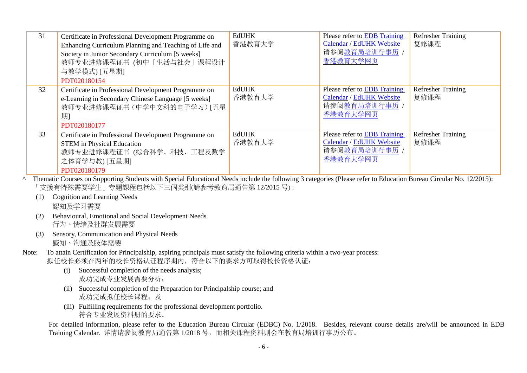| 31 | Certificate in Professional Development Programme on<br>Enhancing Curriculum Planning and Teaching of Life and<br>Society in Junior Secondary Curriculum [5 weeks]<br>教师专业进修课程证书 (初中「生活与社会」课程设计<br>与教学模式) [五星期]<br>PDT020180154                                                                                             | <b>EdUHK</b><br>香港教育大学 | Please refer to EDB Training<br>Calendar / EdUHK Website<br>请参阅教育局培训行事历<br>香港教育大学网页 | <b>Refresher Training</b><br>复修课程 |
|----|-----------------------------------------------------------------------------------------------------------------------------------------------------------------------------------------------------------------------------------------------------------------------------------------------------------------------------|------------------------|-------------------------------------------------------------------------------------|-----------------------------------|
| 32 | Certificate in Professional Development Programme on<br>e-Learning in Secondary Chinese Language [5 weeks]<br>教师专业进修课程证书(中学中文科的电子学习)[五星<br>期1<br>PDT020180177                                                                                                                                                               | <b>EdUHK</b><br>香港教育大学 | Please refer to EDB Training<br>Calendar / EdUHK Website<br>请参阅教育局培训行事历<br>香港教育大学网页 | <b>Refresher Training</b><br>复修课程 |
| 33 | Certificate in Professional Development Programme on<br><b>STEM</b> in Physical Education<br>教师专业进修课程证书 (综合科学、科技、工程及数学<br>之体育学与教) [五星期]<br>PDT020180179<br>Thematic Courses on Supporting Students with Special Educational Needs include the following 2 setegames (Deese refer to Education Dureau Circular No. 12/2015). | <b>EdUHK</b><br>香港教育大学 | Please refer to EDB Training<br>Calendar / EdUHK Website<br>请参阅教育局培训行事历<br>香港教育大学网页 | <b>Refresher Training</b><br>复修课程 |

^ Thematic Courses on Supporting Students with Special Educational Needs include the following 3 categories (Please refer to Education Bureau Circular No. 12/2015): 「支援有特殊需要学生」专題課程包括以下三個类别(請參考教育局通告第 12/2015 号) :

- (1) Cognition and Learning Needs 認知及学习需要
- (2) Behavioural, Emotional and Social Development Needs 行为、情绪及社群发展需要
- (3) Sensory, Communication and Physical Needs

感知、沟通及肢体需要

- Note: To attain Certification for Principalship, aspiring principals must satisfy the following criteria within a two-year process: 拟任校长必须在两年的校长资格认证程序期内,符合以下的要求方可取得校长资格认证:
	- (i) Successful completion of the needs analysis; 成功完成专业发展需要分析;
	- (ii) Successful completion of the Preparation for Principalship course; and 成功完成拟任校长课程;及
	- (iii) Fulfilling requirements for the professional development portfolio. 符合专业发展资料册的要求。

For detailed information, please refer to the Education Bureau Circular (EDBC) No. 1/2018. Besides, relevant course details are/will be announced in EDB Training Calendar. 详情请参阅教育局通告第 1/2018 号,而相关课程资料则会在教育局培训行事历公布。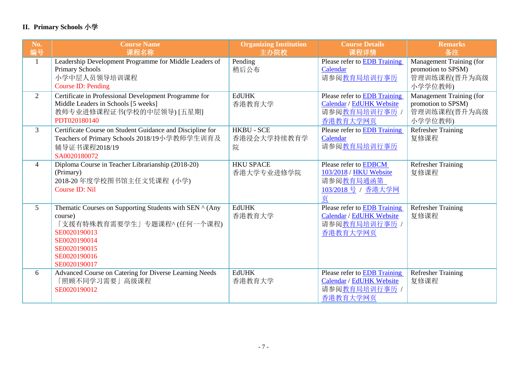## **II. Primary Schools** 小学

| No.             | <b>Course Name</b>                                        | <b>Organizing Institution</b> | <b>Course Details</b>               | <b>Remarks</b>            |
|-----------------|-----------------------------------------------------------|-------------------------------|-------------------------------------|---------------------------|
| 编号              | 课程名称                                                      | 主办院校                          | 课程详情                                | 备注                        |
| -1              | Leadership Development Programme for Middle Leaders of    | Pending                       | Please refer to <b>EDB</b> Training | Management Training (for  |
|                 | <b>Primary Schools</b>                                    | 稍后公布                          | Calendar                            | promotion to SPSM)        |
|                 | 小学中层人员领导培训课程                                              |                               | 请参阅教育局培训行事历                         | 管理训练课程(晋升为高级              |
|                 | <b>Course ID: Pending</b>                                 |                               |                                     | 小学学位教师)                   |
| $\overline{2}$  | Certificate in Professional Development Programme for     | <b>EdUHK</b>                  | Please refer to EDB Training        | Management Training (for  |
|                 | Middle Leaders in Schools [5 weeks]                       | 香港教育大学                        | Calendar / EdUHK Website            | promotion to SPSM)        |
|                 | 教师专业进修课程证书(学校的中层领导) [五星期]                                 |                               | 请参阅 <u>教育局培训行事历</u> /               | 管理训练课程(晋升为高级              |
|                 | PDT020180140                                              |                               | 香港教育大学网页                            | 小学学位教师)                   |
| 3               | Certificate Course on Student Guidance and Discipline for | <b>HKBU - SCE</b>             | Please refer to EDB Training        | Refresher Training        |
|                 | Teachers of Primary Schools 2018/19小学教师学生训育及              | 香港浸会大学持续教育学                   | Calendar                            | 复修课程                      |
|                 | 辅导证书课程2018/19                                             | 院                             | 请参阅教育局培训行事历                         |                           |
|                 | SA0020180072                                              |                               |                                     |                           |
| $\overline{4}$  | Diploma Course in Teacher Librarianship (2018-20)         | <b>HKU SPACE</b>              | Please refer to EDBCM               | Refresher Training        |
|                 | (Primary)                                                 | 香港大学专业进修学院                    | 103/2018 / HKU Website              | 复修课程                      |
|                 | 2018-20 年度学校图书馆主任文凭课程 (小学)                                |                               | 请参阅教育局通函第                           |                           |
|                 | <b>Course ID: Nil</b>                                     |                               | 103/2018号 / 香港大学网                   |                           |
|                 |                                                           |                               | 页                                   |                           |
| $5\overline{)}$ | Thematic Courses on Supporting Students with SEN ^ (Any   | <b>EdUHK</b>                  | Please refer to EDB Training        | <b>Refresher Training</b> |
|                 | course)                                                   | 香港教育大学                        | Calendar / EdUHK Website            | 复修课程                      |
|                 | 「支援有特殊教育需要学生」专题课程^ (任何一个课程)                               |                               | 请参阅教育局培训行事历 /                       |                           |
|                 | SE0020190013                                              |                               | 香港教育大学网页                            |                           |
|                 | SE0020190014                                              |                               |                                     |                           |
|                 | SE0020190015                                              |                               |                                     |                           |
|                 | SE0020190016                                              |                               |                                     |                           |
|                 | SE0020190017                                              |                               |                                     |                           |
| 6               | Advanced Course on Catering for Diverse Learning Needs    | <b>EdUHK</b>                  | Please refer to EDB Training        | <b>Refresher Training</b> |
|                 | 「照顾不同学习需要」高级课程                                            | 香港教育大学                        | Calendar / EdUHK Website            | 复修课程                      |
|                 | SE0020190012                                              |                               | 请参阅教育局培训行事历 /                       |                           |
|                 |                                                           |                               | 香港教育大学网页                            |                           |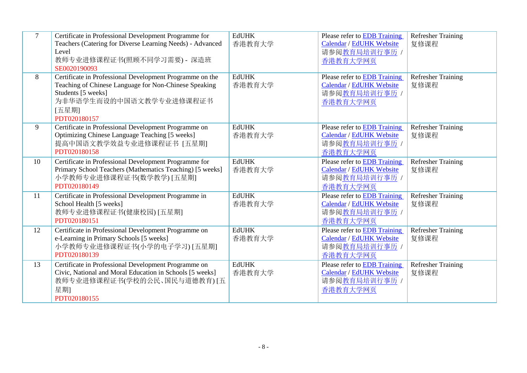| $\overline{7}$ | Certificate in Professional Development Programme for<br>Teachers (Catering for Diverse Learning Needs) - Advanced<br>Level<br>教师专业进修课程证书(照顾不同学习需要) - 深造班<br>SE0020190093                   | <b>EdUHK</b><br>香港教育大学 | <b>Please refer to EDB Training</b><br>Calendar / EdUHK Website<br>请参阅教育局培训行事历 /<br>香港教育大学网页 | <b>Refresher Training</b><br>复修课程 |
|----------------|---------------------------------------------------------------------------------------------------------------------------------------------------------------------------------------------|------------------------|----------------------------------------------------------------------------------------------|-----------------------------------|
| 8              | Certificate in Professional Development Programme on the<br>Teaching of Chinese Language for Non-Chinese Speaking<br>Students [5 weeks]<br>为非华语学生而设的中国语文教学专业进修课程证书<br>[五星期]<br>PDT020180157 | <b>EdUHK</b><br>香港教育大学 | Please refer to EDB Training<br>Calendar / EdUHK Website<br>请参阅教育局培训行事历 /<br>香港教育大学网页        | <b>Refresher Training</b><br>复修课程 |
| 9              | Certificate in Professional Development Programme on<br>Optimizing Chinese Language Teaching [5 weeks]<br>提高中国语文教学效益专业进修课程证书 [五星期]<br>PDT020180158                                          | <b>EdUHK</b><br>香港教育大学 | <b>Please refer to EDB Training</b><br>Calendar / EdUHK Website<br>请参阅教育局培训行事历 /<br>香港教育大学网页 | <b>Refresher Training</b><br>复修课程 |
| 10             | Certificate in Professional Development Programme for<br>Primary School Teachers (Mathematics Teaching) [5 weeks]<br>小学教师专业进修课程证书(数学教学)[五星期]<br>PDT020180149                                | <b>EdUHK</b><br>香港教育大学 | Please refer to EDB Training<br>Calendar / EdUHK Website<br>请参阅教育局培训行事历 /<br>香港教育大学网页        | <b>Refresher Training</b><br>复修课程 |
| 11             | Certificate in Professional Development Programme in<br>School Health [5 weeks]<br>教师专业进修课程证书(健康校园) [五星期]<br>PDT020180151                                                                   | <b>EdUHK</b><br>香港教育大学 | Please refer to EDB Training<br>Calendar / EdUHK Website<br>请参阅教育局培训行事历 /<br>香港教育大学网页        | <b>Refresher Training</b><br>复修课程 |
| 12             | Certificate in Professional Development Programme on<br>e-Learning in Primary Schools [5 weeks]<br>小学教师专业进修课程证书(小学的电子学习) [五星期]<br>PDT020180139                                              | <b>EdUHK</b><br>香港教育大学 | Please refer to EDB Training<br>Calendar / EdUHK Website<br>请参阅教育局培训行事历 /<br>香港教育大学网页        | <b>Refresher Training</b><br>复修课程 |
| 13             | Certificate in Professional Development Programme on<br>Civic, National and Moral Education in Schools [5 weeks]<br>教师专业进修课程证书(学校的公民、国民与道德教育)[五<br>星期]<br>PDT020180155                      | <b>EdUHK</b><br>香港教育大学 | Please refer to EDB Training<br><b>Calendar / EdUHK Website</b><br>请参阅教育局培训行事历 /<br>香港教育大学网页 | <b>Refresher Training</b><br>复修课程 |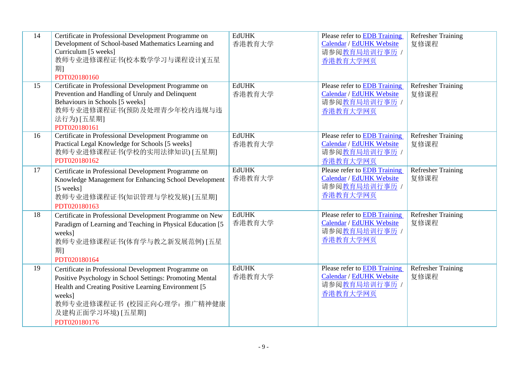| 14 | Certificate in Professional Development Programme on<br>Development of School-based Mathematics Learning and<br>Curriculum [5 weeks]<br>教师专业进修课程证书(校本数学学习与课程设计)[五星<br>期1<br>PDT020180160                                                               | <b>EdUHK</b><br>香港教育大学 | Please refer to EDB Training<br>Calendar / EdUHK Website<br>请参阅教育局培训行事历 /<br>香港教育大学网页 | Refresher Training<br>复修课程        |
|----|--------------------------------------------------------------------------------------------------------------------------------------------------------------------------------------------------------------------------------------------------------|------------------------|---------------------------------------------------------------------------------------|-----------------------------------|
| 15 | Certificate in Professional Development Programme on<br>Prevention and Handling of Unruly and Delinquent<br>Behaviours in Schools [5 weeks]<br>教师专业进修课程证书(预防及处理青少年校内违规与违<br>法行为) [五星期]<br>PDT020180161                                                 | <b>EdUHK</b><br>香港教育大学 | Please refer to EDB Training<br>Calendar / EdUHK Website<br>请参阅教育局培训行事历 /<br>香港教育大学网页 | <b>Refresher Training</b><br>复修课程 |
| 16 | Certificate in Professional Development Programme on<br>Practical Legal Knowledge for Schools [5 weeks]<br>教师专业进修课程证书(学校的实用法律知识) [五星期]<br>PDT020180162                                                                                                 | <b>EdUHK</b><br>香港教育大学 | Please refer to EDB Training<br>Calendar / EdUHK Website<br>请参阅教育局培训行事历 /<br>香港教育大学网页 | <b>Refresher Training</b><br>复修课程 |
| 17 | Certificate in Professional Development Programme on<br>Knowledge Management for Enhancing School Development<br>[5 weeks]<br>教师专业进修课程证书(知识管理与学校发展)[五星期]<br>PDT020180163                                                                               | <b>EdUHK</b><br>香港教育大学 | Please refer to EDB Training<br>Calendar / EdUHK Website<br>请参阅教育局培训行事历 /<br>香港教育大学网页 | <b>Refresher Training</b><br>复修课程 |
| 18 | Certificate in Professional Development Programme on New<br>Paradigm of Learning and Teaching in Physical Education [5]<br>weeks]<br>教师专业进修课程证书(体育学与教之新发展范例) [五星<br>期1<br>PDT020180164                                                                 | <b>EdUHK</b><br>香港教育大学 | Please refer to EDB Training<br>Calendar / EdUHK Website<br>请参阅教育局培训行事历 /<br>香港教育大学网页 | <b>Refresher Training</b><br>复修课程 |
| 19 | Certificate in Professional Development Programme on<br>Positive Psychology in School Settings: Promoting Mental<br>Health and Creating Positive Learning Environment [5]<br>weeks]<br>教师专业进修课程证书 (校园正向心理学: 推广精神健康<br>及建构正面学习环境) [五星期]<br>PDT020180176 | <b>EdUHK</b><br>香港教育大学 | Please refer to EDB Training<br>Calendar / EdUHK Website<br>请参阅教育局培训行事历 /<br>香港教育大学网页 | <b>Refresher Training</b><br>复修课程 |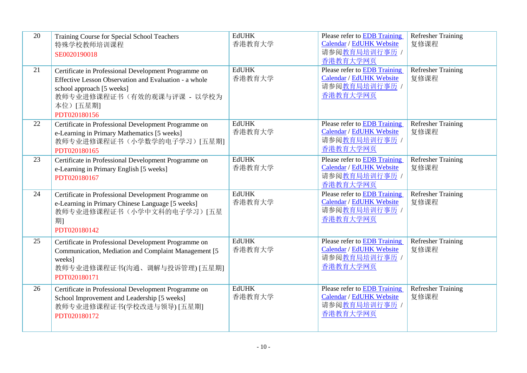| 20 | Training Course for Special School Teachers<br>特殊学校教师培训课程<br>SE0020190018                                                                                                                             | <b>EdUHK</b><br>香港教育大学 | Please refer to EDB Training<br>Calendar / EdUHK Website<br>请参阅教育局培训行事历 /<br>香港教育大学网页        | <b>Refresher Training</b><br>复修课程 |
|----|-------------------------------------------------------------------------------------------------------------------------------------------------------------------------------------------------------|------------------------|----------------------------------------------------------------------------------------------|-----------------------------------|
| 21 | Certificate in Professional Development Programme on<br>Effective Lesson Observation and Evaluation - a whole<br>school approach [5 weeks]<br>教师专业进修课程证书(有效的观课与评课 - 以学校为<br>本位) [五星期]<br>PDT020180156 | <b>EdUHK</b><br>香港教育大学 | Please refer to EDB Training<br>Calendar / EdUHK Website<br>请参阅教育局培训行事历 /<br>香港教育大学网页        | Refresher Training<br>复修课程        |
| 22 | Certificate in Professional Development Programme on<br>e-Learning in Primary Mathematics [5 weeks]<br>教师专业进修课程证书(小学数学的电子学习)[五星期]<br>PDT020180165                                                     | <b>EdUHK</b><br>香港教育大学 | Please refer to EDB Training<br>Calendar / EdUHK Website<br>请参阅教育局培训行事历 /<br>香港教育大学网页        | <b>Refresher Training</b><br>复修课程 |
| 23 | Certificate in Professional Development Programme on<br>e-Learning in Primary English [5 weeks]<br>PDT020180167                                                                                       | <b>EdUHK</b><br>香港教育大学 | Please refer to EDB Training<br>Calendar / EdUHK Website<br>请参阅教育局培训行事历 /<br>香港教育大学网页        | <b>Refresher Training</b><br>复修课程 |
| 24 | Certificate in Professional Development Programme on<br>e-Learning in Primary Chinese Language [5 weeks]<br>教师专业进修课程证书(小学中文科的电子学习)[五星<br>期1<br>PDT020180142                                           | <b>EdUHK</b><br>香港教育大学 | Please refer to EDB Training<br><b>Calendar / EdUHK Website</b><br>请参阅教育局培训行事历 /<br>香港教育大学网页 | <b>Refresher Training</b><br>复修课程 |
| 25 | Certificate in Professional Development Programme on<br>Communication, Mediation and Complaint Management [5]<br>weeks]<br>教师专业进修课程证书(沟通、调解与投诉管理) [五星期]<br>PDT020180171                               | <b>EdUHK</b><br>香港教育大学 | Please refer to EDB Training<br>Calendar / EdUHK Website<br>请参阅教育局培训行事历 /<br>香港教育大学网页        | <b>Refresher Training</b><br>复修课程 |
| 26 | Certificate in Professional Development Programme on<br>School Improvement and Leadership [5 weeks]<br>教师专业进修课程证书(学校改进与领导) [五星期]<br>PDT020180172                                                      | <b>EdUHK</b><br>香港教育大学 | Please refer to EDB Training<br>Calendar / EdUHK Website<br>请参阅教育局培训行事历 /<br>香港教育大学网页        | <b>Refresher Training</b><br>复修课程 |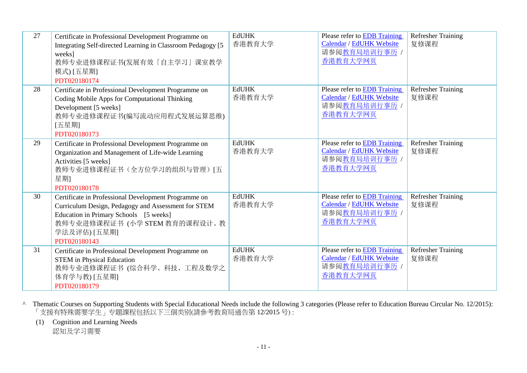| 27 | Certificate in Professional Development Programme on<br>Integrating Self-directed Learning in Classroom Pedagogy [5]<br>weeks]<br>教师专业进修课程证书(发展有效「自主学习」课室教学<br>模式) [五星期]<br>PDT020180174                               | <b>EdUHK</b><br>香港教育大学 | Please refer to EDB Training<br>Calendar / EdUHK Website<br>请参阅教育局培训行事历 /<br>香港教育大学网页 | <b>Refresher Training</b><br>复修课程 |
|----|------------------------------------------------------------------------------------------------------------------------------------------------------------------------------------------------------------------------|------------------------|---------------------------------------------------------------------------------------|-----------------------------------|
| 28 | Certificate in Professional Development Programme on<br>Coding Mobile Apps for Computational Thinking<br>Development [5 weeks]<br>教师专业进修课程证书(编写流动应用程式发展运算思维)<br>[五星期]<br>PDT020180173                                  | <b>EdUHK</b><br>香港教育大学 | Please refer to EDB Training<br>Calendar / EdUHK Website<br>请参阅教育局培训行事历 /<br>香港教育大学网页 | <b>Refresher Training</b><br>复修课程 |
| 29 | Certificate in Professional Development Programme on<br>Organization and Management of Life-wide Learning<br>Activities [5 weeks]<br>教师专业进修课程证书(全方位学习的组织与管理) [五<br>星期1<br>PDT020180178                                 | <b>EdUHK</b><br>香港教育大学 | Please refer to EDB Training<br>Calendar / EdUHK Website<br>请参阅教育局培训行事历 /<br>香港教育大学网页 | <b>Refresher Training</b><br>复修课程 |
| 30 | Certificate in Professional Development Programme on<br>Curriculum Design, Pedagogy and Assessment for STEM<br>Education in Primary Schools [5 weeks]<br>教师专业进修课程证书 (小学 STEM 教育的课程设计、教<br>学法及评估) [五星期]<br>PDT020180143 | <b>EdUHK</b><br>香港教育大学 | Please refer to EDB Training<br>Calendar / EdUHK Website<br>请参阅教育局培训行事历 /<br>香港教育大学网页 | <b>Refresher Training</b><br>复修课程 |
| 31 | Certificate in Professional Development Programme on<br><b>STEM</b> in Physical Education<br>教师专业进修课程证书 (综合科学、科技、工程及数学之<br>体育学与教) [五星期]<br>PDT020180179                                                                | <b>EdUHK</b><br>香港教育大学 | Please refer to EDB Training<br>Calendar / EdUHK Website<br>请参阅教育局培训行事历<br>香港教育大学网页   | <b>Refresher Training</b><br>复修课程 |

^ Thematic Courses on Supporting Students with Special Educational Needs include the following 3 categories (Please refer to Education Bureau Circular No. 12/2015): 「支援有特殊需要学生」专題課程包括以下三個类别(請參考教育局通告第 12/2015 号) :

(1) Cognition and Learning Needs

認知及学习需要